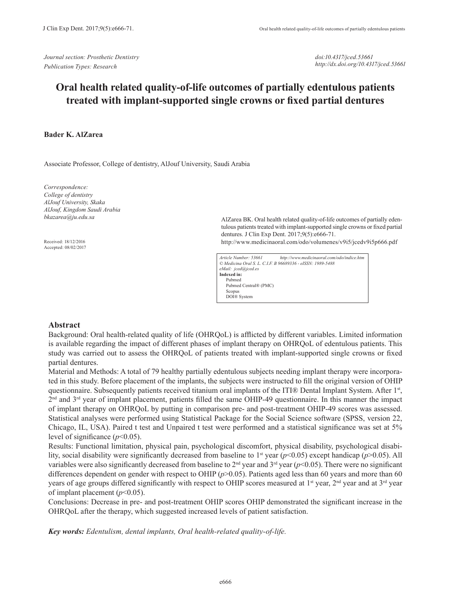*Journal section: Prosthetic Dentistry Publication Types: Research*

*doi:10.4317/jced.53661 http://dx.doi.org/10.4317/jced.53661*

# **Oral health related quality-of-life outcomes of partially edentulous patients treated with implant-supported single crowns or fixed partial dentures**

#### **Bader K. AlZarea**

Associate Professor, College of dentistry, AlJouf University, Saudi Arabia

*Correspondence: College of dentistry AlJouf University, Skaka AlJouf, Kingdom Saudi Arabia bkazarea@ju.edu.sa*

Received: 18/12/2016 Accepted: 08/02/2017 AlZarea BK. Oral health related quality-of-life outcomes of partially edentulous patients treated with implant-supported single crowns or fixed partial dentures. J Clin Exp Dent. 2017;9(5):e666-71.

http://www.medicinaoral.com/odo/volumenes/v9i5/jcedv9i5p666.pdf

| Article Number: 53661                                      | http://www.medicinaoral.com/odo/indice.htm |
|------------------------------------------------------------|--------------------------------------------|
| © Medicina Oral S. L. C.I.F. B 96689336 - eISSN: 1989-5488 |                                            |
| eMail: jced@jced.es                                        |                                            |
| Indexed in:                                                |                                            |
| Pubmed                                                     |                                            |
| Pubmed Central® (PMC)                                      |                                            |
| Scopus                                                     |                                            |
| DOI® System                                                |                                            |

### **Abstract**

Background: Oral health-related quality of life (OHRQoL) is afflicted by different variables. Limited information is available regarding the impact of different phases of implant therapy on OHRQoL of edentulous patients. This study was carried out to assess the OHRQoL of patients treated with implant-supported single crowns or fixed partial dentures.

Material and Methods: A total of 79 healthy partially edentulous subjects needing implant therapy were incorporated in this study. Before placement of the implants, the subjects were instructed to fill the original version of OHIP questionnaire. Subsequently patients received titanium oral implants of the ITI® Dental Implant System. After 1st,  $2<sup>nd</sup>$  and  $3<sup>rd</sup>$  year of implant placement, patients filled the same OHIP-49 questionnaire. In this manner the impact of implant therapy on OHRQoL by putting in comparison pre- and post-treatment OHIP-49 scores was assessed. Statistical analyses were performed using Statistical Package for the Social Science software (SPSS, version 22, Chicago, IL, USA). Paired t test and Unpaired t test were performed and a statistical significance was set at 5% level of significance  $(p<0.05)$ .

Results: Functional limitation, physical pain, psychological discomfort, physical disability, psychological disability, social disability were significantly decreased from baseline to 1st year (*p*<0.05) except handicap (*p*>0.05). All variables were also significantly decreased from baseline to  $2<sup>nd</sup>$  year and  $3<sup>rd</sup>$  year ( $p<0.05$ ). There were no significant differences dependent on gender with respect to OHIP (*p*>0.05). Patients aged less than 60 years and more than 60 years of age groups differed significantly with respect to OHIP scores measured at 1<sup>st</sup> year,  $2<sup>nd</sup>$  year and at  $3<sup>rd</sup>$  year of implant placement (*p*<0.05).

Conclusions: Decrease in pre- and post-treatment OHIP scores OHIP demonstrated the significant increase in the OHRQoL after the therapy, which suggested increased levels of patient satisfaction.

*Key words: Edentulism, dental implants, Oral health-related quality-of-life.*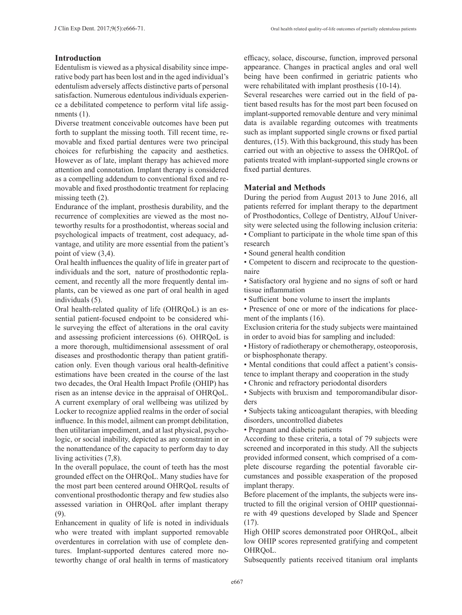## **Introduction**

Edentulism is viewed as a physical disability since imperative body part has been lost and in the aged individual's edentulism adversely affects distinctive parts of personal satisfaction. Numerous edentulous individuals experience a debilitated competence to perform vital life assignments (1).

Diverse treatment conceivable outcomes have been put forth to supplant the missing tooth. Till recent time, removable and fixed partial dentures were two principal choices for refurbishing the capacity and aesthetics. However as of late, implant therapy has achieved more attention and connotation. Implant therapy is considered as a compelling addendum to conventional fixed and removable and fixed prosthodontic treatment for replacing missing teeth  $(2)$ .

Endurance of the implant, prosthesis durability, and the recurrence of complexities are viewed as the most noteworthy results for a prosthodontist, whereas social and psychological impacts of treatment, cost adequacy, advantage, and utility are more essential from the patient's point of view (3,4).

Oral health influences the quality of life in greater part of individuals and the sort, nature of prosthodontic replacement, and recently all the more frequently dental implants, can be viewed as one part of oral health in aged individuals (5).

Oral health-related quality of life (OHRQoL) is an essential patient-focused endpoint to be considered while surveying the effect of alterations in the oral cavity and assessing proficient intercessions (6). OHRQoL is a more thorough, multidimensional assessment of oral diseases and prosthodontic therapy than patient gratification only. Even though various oral health-definitive estimations have been created in the course of the last two decades, the Oral Health Impact Profile (OHIP) has risen as an intense device in the appraisal of OHRQoL. A current exemplary of oral wellbeing was utilized by Locker to recognize applied realms in the order of social influence. In this model, ailment can prompt debilitation, then utilitarian impediment, and at last physical, psychologic, or social inability, depicted as any constraint in or the nonattendance of the capacity to perform day to day living activities (7,8).

In the overall populace, the count of teeth has the most grounded effect on the OHRQoL. Many studies have for the most part been centered around OHRQoL results of conventional prosthodontic therapy and few studies also assessed variation in OHRQoL after implant therapy (9).

Enhancement in quality of life is noted in individuals who were treated with implant supported removable overdentures in correlation with use of complete dentures. Implant-supported dentures catered more noteworthy change of oral health in terms of masticatory efficacy, solace, discourse, function, improved personal appearance. Changes in practical angles and oral well being have been confirmed in geriatric patients who were rehabilitated with implant prosthesis (10-14).

Several researches were carried out in the field of patient based results has for the most part been focused on implant-supported removable denture and very minimal data is available regarding outcomes with treatments such as implant supported single crowns or fixed partial dentures, (15). With this background, this study has been carried out with an objective to assess the OHRQoL of patients treated with implant-supported single crowns or fixed partial dentures.

# **Material and Methods**

During the period from August 2013 to June 2016, all patients referred for implant therapy to the department of Prosthodontics, College of Dentistry, AlJouf University were selected using the following inclusion criteria: • Compliant to participate in the whole time span of this

research • Sound general health condition

• Competent to discern and reciprocate to the questionnaire

• Satisfactory oral hygiene and no signs of soft or hard tissue inflammation

• Sufficient bone volume to insert the implants

• Presence of one or more of the indications for placement of the implants (16).

Exclusion criteria for the study subjects were maintained in order to avoid bias for sampling and included:

• History of radiotherapy or chemotherapy, osteoporosis, or bisphosphonate therapy.

• Mental conditions that could affect a patient's consistence to implant therapy and cooperation in the study

• Chronic and refractory periodontal disorders

• Subjects with bruxism and temporomandibular disorders

• Subjects taking anticoagulant therapies, with bleeding disorders, uncontrolled diabetes

• Pregnant and diabetic patients

According to these criteria, a total of 79 subjects were screened and incorporated in this study. All the subjects provided informed consent, which comprised of a complete discourse regarding the potential favorable circumstances and possible exasperation of the proposed implant therapy.

Before placement of the implants, the subjects were instructed to fill the original version of OHIP questionnaire with 49 questions developed by Slade and Spencer (17).

High OHIP scores demonstrated poor OHRQoL, albeit low OHIP scores represented gratifying and competent OHRQoL.

Subsequently patients received titanium oral implants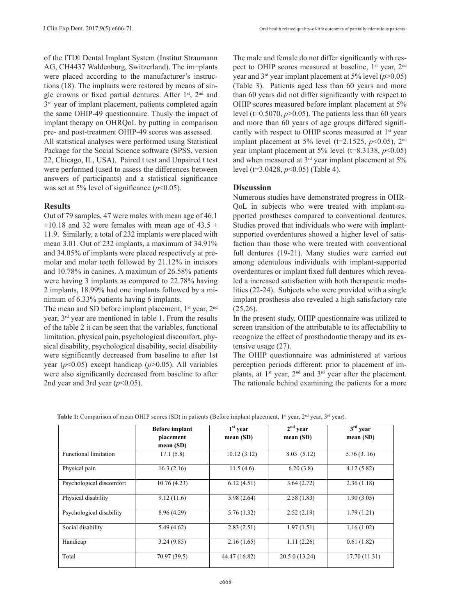of the ITI® Dental Implant System (Institut Straumann AG, CH4437 Waldenburg, Switzerland). The im-plants were placed according to the manufacturer's instructions (18). The implants were restored by means of single crowns or fixed partial dentures. After 1<sup>st</sup>, 2<sup>nd</sup> and  $3<sup>rd</sup>$  year of implant placement, patients completed again the same OHIP-49 questionnaire. Thusly the impact of implant therapy on OHRQoL by putting in comparison pre- and post-treatment OHIP-49 scores was assessed. All statistical analyses were performed using Statistical Package for the Social Science software (SPSS, version 22, Chicago, IL, USA). Paired t test and Unpaired t test were performed (used to assess the differences between answers of participants) and a statistical significance was set at 5% level of significance  $(p<0.05)$ .

#### **Results**

Out of 79 samples, 47 were males with mean age of 46.1  $\pm 10.18$  and 32 were females with mean age of 43.5  $\pm$ 11.9. Similarly, a total of 232 implants were placed with mean 3.01. Out of 232 implants, a maximum of 34.91% and 34.05% of implants were placed respectively at premolar and molar teeth followed by 21.12% in incisors and 10.78% in canines. A maximum of 26.58% patients were having 3 implants as compared to 22.78% having 2 implants, 18.99% had one implants followed by a minimum of 6.33% patients having 6 implants.

The mean and SD before implant placement, 1<sup>st</sup> year, 2<sup>nd</sup> year, 3rd year are mentioned in table 1. From the results of the table 2 it can be seen that the variables, functional limitation, physical pain, psychological discomfort, physical disability, psychological disability, social disability were significantly decreased from baseline to after 1st year (*p*<0.05) except handicap (*p*>0.05). All variables were also significantly decreased from baseline to after 2nd year and 3rd year  $(p<0.05)$ .

The male and female do not differ significantly with respect to OHIP scores measured at baseline, 1<sup>st</sup> year, 2<sup>nd</sup> year and 3rd year implant placement at 5% level (*p*>0.05) (Table 3). Patients aged less than 60 years and more than 60 years did not differ significantly with respect to OHIP scores measured before implant placement at 5% level ( $t=0.5070$ ,  $p>0.05$ ). The patients less than 60 years and more than 60 years of age groups differed significantly with respect to OHIP scores measured at 1<sup>st</sup> year implant placement at  $5\%$  level (t=2.1525,  $p<0.05$ ),  $2<sup>nd</sup>$ year implant placement at 5% level (t=8.3138, *p*<0.05) and when measured at 3rd year implant placement at 5% level (t=3.0428, *p*<0.05) (Table 4).

### **Discussion**

Numerous studies have demonstrated progress in OHR-QoL in subjects who were treated with implant-supported prostheses compared to conventional dentures. Studies proved that individuals who were with implantsupported overdentures showed a higher level of satisfaction than those who were treated with conventional full dentures (19-21). Many studies were carried out among edentulous individuals with implant-supported overdentures or implant fixed full dentures which revealed a increased satisfaction with both therapeutic modalities (22-24). Subjects who were provided with a single implant prosthesis also revealed a high satisfactory rate  $(25,26)$ .

In the present study, OHIP questionnaire was utilized to screen transition of the attributable to its affectability to recognize the effect of prosthodontic therapy and its extensive usage (27).

The OHIP questionnaire was administered at various perception periods different: prior to placement of implants, at  $1<sup>st</sup>$  year,  $2<sup>nd</sup>$  and  $3<sup>rd</sup>$  year after the placement. The rationale behind examining the patients for a more

|                              | <b>Before implant</b>    | $1st$ year    | $2nd$ year   | $3rd$ year   |
|------------------------------|--------------------------|---------------|--------------|--------------|
|                              | placement<br>mean $(SD)$ | mean $(SD)$   | mean (SD)    | mean (SD)    |
| <b>Functional limitation</b> | 17.1(5.8)                | 10.12(3.12)   | 8.03(5.12)   | 5.76(3.16)   |
| Physical pain                | 16.3(2.16)               | 11.5(4.6)     | 6.20(3.8)    | 4.12(5.82)   |
| Psychological discomfort     | 10.76(4.23)              | 6.12(4.51)    | 3.64(2.72)   | 2.36(1.18)   |
| Physical disability          | 9.12(11.6)               | 5.98(2.64)    | 2.58(1.83)   | 1.90(3.05)   |
| Psychological disability     | 8.96(4.29)               | 5.76(1.32)    | 2.52(2.19)   | 1.79(1.21)   |
| Social disability            | 5.49(4.62)               | 2.83(2.51)    | 1.97(1.51)   | 1.16(1.02)   |
| Handicap                     | 3.24(9.85)               | 2.16(1.65)    | 1.11(2.26)   | 0.61(1.82)   |
| Total                        | 70.97 (39.5)             | 44.47 (16.82) | 20.50(13.24) | 17.70(11.31) |

**Table 1:** Comparison of mean OHIP scores (SD) in patients (Before implant placement, 1<sup>st</sup> year, 2<sup>nd</sup> year, 3<sup>rd</sup> year).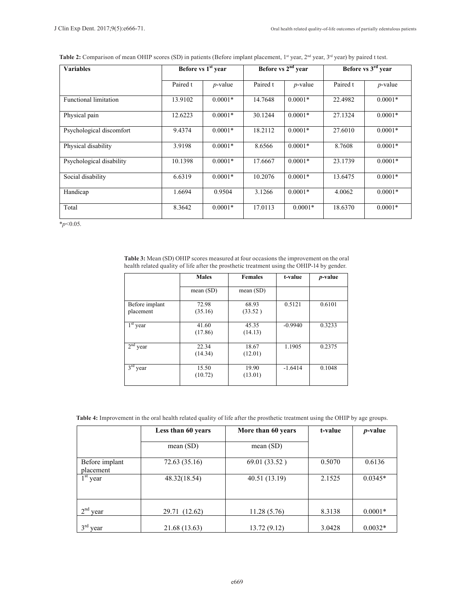|  |  | Table 2: Comparison of mean OHIP scores (SD) in patients (Before implant placement, 1 <sup>st</sup> year, 2 <sup>nd</sup> year, 3 <sup>rd</sup> year) by paired t test. |
|--|--|-------------------------------------------------------------------------------------------------------------------------------------------------------------------------|
|--|--|-------------------------------------------------------------------------------------------------------------------------------------------------------------------------|

| <b>Variables</b>             | Before vs 1 <sup>st</sup> year |            | Before vs 2 <sup>nd</sup> year |            | Before vs 3 <sup>rd</sup> year |            |
|------------------------------|--------------------------------|------------|--------------------------------|------------|--------------------------------|------------|
|                              | Paired t                       | $p$ -value | Paired t                       | $p$ -value | Paired t                       | $p$ -value |
| <b>Functional limitation</b> | 13.9102                        | $0.0001*$  | 14.7648                        | $0.0001*$  | 22.4982                        | $0.0001*$  |
| Physical pain                | 12.6223                        | $0.0001*$  | 30.1244                        | $0.0001*$  | 27.1324                        | $0.0001*$  |
| Psychological discomfort     | 9.4374                         | $0.0001*$  | 18.2112                        | $0.0001*$  | 27.6010                        | $0.0001*$  |
| Physical disability          | 3.9198                         | $0.0001*$  | 8.6566                         | $0.0001*$  | 8.7608                         | $0.0001*$  |
| Psychological disability     | 10.1398                        | $0.0001*$  | 17.6667                        | $0.0001*$  | 23.1739                        | $0.0001*$  |
| Social disability            | 6.6319                         | $0.0001*$  | 10.2076                        | $0.0001*$  | 13.6475                        | $0.0001*$  |
| Handicap                     | 1.6694                         | 0.9504     | 3.1266                         | $0.0001*$  | 4.0062                         | $0.0001*$  |
| Total                        | 8.3642                         | $0.0001*$  | 17.0113                        | $0.0001*$  | 18.6370                        | $0.0001*$  |

\**p*<0.05.

**Table 3:** Mean (SD) OHIP scores measured at four occasions the improvement on the oral health related quality of life after the prosthetic treatment using the OHIP-14 by gender.

|                             | <b>Males</b>     | <b>Females</b>   | t-value   | <i>p</i> -value |
|-----------------------------|------------------|------------------|-----------|-----------------|
|                             | mean(SD)         | mean $(SD)$      |           |                 |
| Before implant<br>placement | 72.98<br>(35.16) | 68.93<br>(33.52) | 0.5121    | 0.6101          |
| $1st$ year                  | 41.60<br>(17.86) | 45.35<br>(14.13) | $-0.9940$ | 0.3233          |
| $2nd$ year                  | 22.34<br>(14.34) | 18.67<br>(12.01) | 1.1905    | 0.2375          |
| $3rd$ year                  | 15.50<br>(10.72) | 19.90<br>(13.01) | $-1.6414$ | 0.1048          |

| Table 4: Improvement in the oral health related quality of life after the prosthetic treatment using the OHIP by age groups. |  |
|------------------------------------------------------------------------------------------------------------------------------|--|
|------------------------------------------------------------------------------------------------------------------------------|--|

|                             | Less than 60 years | More than 60 years | t-value | <i>p</i> -value |  |
|-----------------------------|--------------------|--------------------|---------|-----------------|--|
|                             | mean $(SD)$        | mean $(SD)$        |         |                 |  |
| Before implant<br>placement | 72.63 (35.16)      | 69.01 (33.52)      | 0.5070  | 0.6136          |  |
| $1st$ year                  | 48.32(18.54)       | 40.51 (13.19)      | 2.1525  | $0.0345*$       |  |
| $\gamma$ nd<br>year         | 29.71 (12.62)      | 11.28(5.76)        | 8.3138  | $0.0001*$       |  |
| $2$ rd<br>vear              | 21.68 (13.63)      | 13.72 (9.12)       | 3.0428  | $0.0032*$       |  |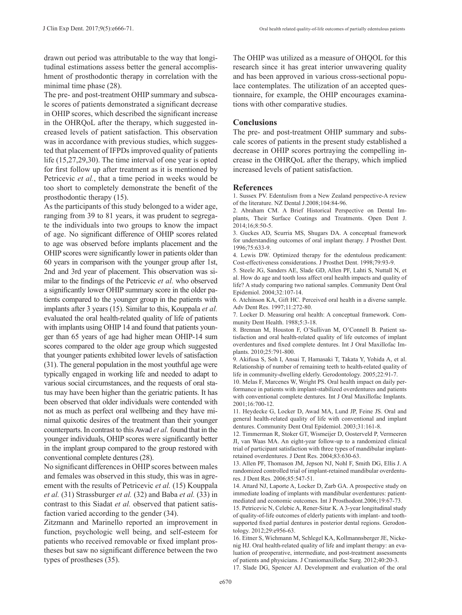drawn out period was attributable to the way that longitudinal estimations assess better the general accomplishment of prosthodontic therapy in correlation with the minimal time phase (28).

The pre- and post-treatment OHIP summary and subscale scores of patients demonstrated a significant decrease in OHIP scores, which described the significant increase in the OHRQoL after the therapy, which suggested increased levels of patient satisfaction. This observation was in accordance with previous studies, which suggested that placement of IFPDs improved quality of patients life (15,27,29,30). The time interval of one year is opted for first follow up after treatment as it is mentioned by Petricevic *et al.*, that a time period in weeks would be too short to completely demonstrate the benefit of the prosthodontic therapy (15).

As the participants of this study belonged to a wider age, ranging from 39 to 81 years, it was prudent to segregate the individuals into two groups to know the impact of age. No significant difference of OHIP scores related to age was observed before implants placement and the OHIP scores were significantly lower in patients older than 60 years in comparison with the younger group after 1st, 2nd and 3rd year of placement. This observation was similar to the findings of the Petricevic *et al.* who observed a significantly lower OHIP summary score in the older patients compared to the younger group in the patients with implants after 3 years (15). Similar to this, Kouppala *et al.* evaluated the oral health-related quality of life of patients with implants using OHIP 14 and found that patients younger than 65 years of age had higher mean OHIP-14 sum scores compared to the older age group which suggested that younger patients exhibited lower levels of satisfaction (31). The general population in the most youthful age were typically engaged in working life and needed to adapt to various social circumstances, and the requests of oral status may have been higher than the geriatric patients. It has been observed that older individuals were contended with not as much as perfect oral wellbeing and they have minimal quixotic desires of the treatment than their younger counterparts. In contrast to this Awad *et al.* found that in the younger individuals, OHIP scores were significantly better in the implant group compared to the group restored with conventional complete dentures (28).

No significant differences in OHIP scores between males and females was observed in this study, this was in agreement with the results of Petricevic *et al.* (15) Kouppala *et al.* (31) Strassburger *et al.* (32) and Baba *et al.* (33) in contrast to this Siadat *et al.* observed that patient satisfaction varied according to the gender (34).

Zitzmann and Marinello reported an improvement in function, psychologic well being, and self-esteem for patients who received removable or fixed implant prostheses but saw no significant difference between the two types of prostheses (35).

The OHIP was utilized as a measure of OHQOL for this research since it has great interior unwavering quality and has been approved in various cross-sectional populace contemplates. The utilization of an accepted questionnaire, for example, the OHIP encourages examinations with other comparative studies.

#### **Conclusions**

The pre- and post-treatment OHIP summary and subscale scores of patients in the present study established a decrease in OHIP scores portraying the compelling increase in the OHRQoL after the therapy, which implied increased levels of patient satisfaction.

#### **References**

1. Sussex PV. Edentulism from a New Zealand perspective-A review of the literature. NZ Dental J.2008;104:84-96.

2. Abraham CM. A Brief Historical Perspective on Dental Implants, Their Surface Coatings and Treatments. Open Dent J. 2014;16;8:50-5.

3. Guckes AD, Scurria MS, Shugars DA. A conceptual framework for understanding outcomes of oral implant therapy. J Prosthet Dent. 1996;75:633-9.

4. Lewis DW. Optimized therapy for the edentulous predicament: Cost-effectiveness considerations. J Prosthet Dent. 1998;79:93-9.

5. Steele JG, Sanders AE, Slade GD, Allen PF, Lahti S, Nuttall N, et al. How do age and tooth loss affect oral health impacts and quality of life? A study comparing two national samples. Community Dent Oral Epidemiol. 2004;32:107-14.

6. Atchinson KA, Gift HC. Perceived oral health in a diverse sample. Adv Dent Res. 1997;11:272-80.

7. Locker D. Measuring oral health: A conceptual framework. Community Dent Health. 1988;5:3-18.

8. Brennan M, Houston F, O'Sullivan M, O'Connell B. Patient satisfaction and oral health-related quality of life outcomes of implant overdentures and fixed complete dentures. Int J Oral Maxillofac Implants. 2010;25:791-800.

9. Akifusa S, Soh I, Ansai T, Hamasaki T, Takata Y, Yohida A, et al. Relationship of number of remaining teeth to health-related quality of life in community-dwelling elderly. Gerodontology. 2005;22:91-7.

10. Melas F, Marcenes W, Wright PS. Oral health impact on daily performance in patients with implant-stabilized overdentures and patients with conventional complete dentures. Int J Oral Maxillofac Implants. 2001;16:700-12.

11. Heydecke G, Locker D, Awad MA, Lund JP, Feine JS. Oral and general health-related quality of life with conventional and implant dentures. Community Dent Oral Epidemiol. 2003;31:161-8.

12. Timmerman R, Stoker GT, Wismeijer D, Oosterveld P, Vermeeren JI, van Waas MA. An eight-year follow-up to a randomized clinical trial of participant satisfaction with three types of mandibular implantretained overdentures. J Dent Res. 2004;83:630-63.

13. Allen PF, Thomason JM, Jepson NJ, Nohl F, Smith DG, Ellis J. A randomized controlled trial of implant-retained mandibular overdentures. J Dent Res. 2006;85:547-51.

14. Attard NJ, Laporte A, Locker D, Zarb GA. A prospective study on immediate loading of implants with mandibular overdentures: patientmediated and economic outcomes. Int J Prosthodont.2006;19:67-73.

15. Petricevic N, Celebic A, Rener-Sitar K. A 3-year longitudinal study of quality-of-life outcomes of elderly patients with implant- and toothsupported fixed partial dentures in posterior dental regions. Gerodontology. 2012;29:e956-63.

16. Eitner S, Wichmann M, Schlegel KA, Kollmannsberger JE, Nickenig HJ. Oral health-related quality of life and implant therapy: an evaluation of preoperative, intermediate, and post-treatment assessments of patients and physicians. J Craniomaxillofac Surg. 2012;40:20-3.

17. Slade DG, Spencer AJ. Development and evaluation of the oral